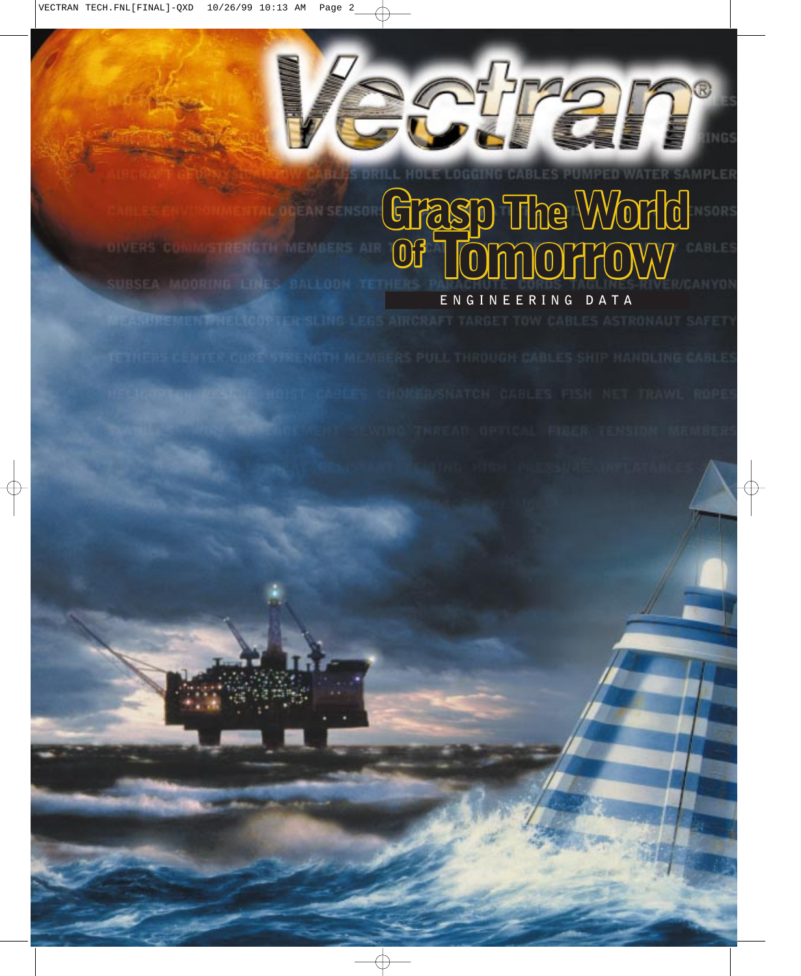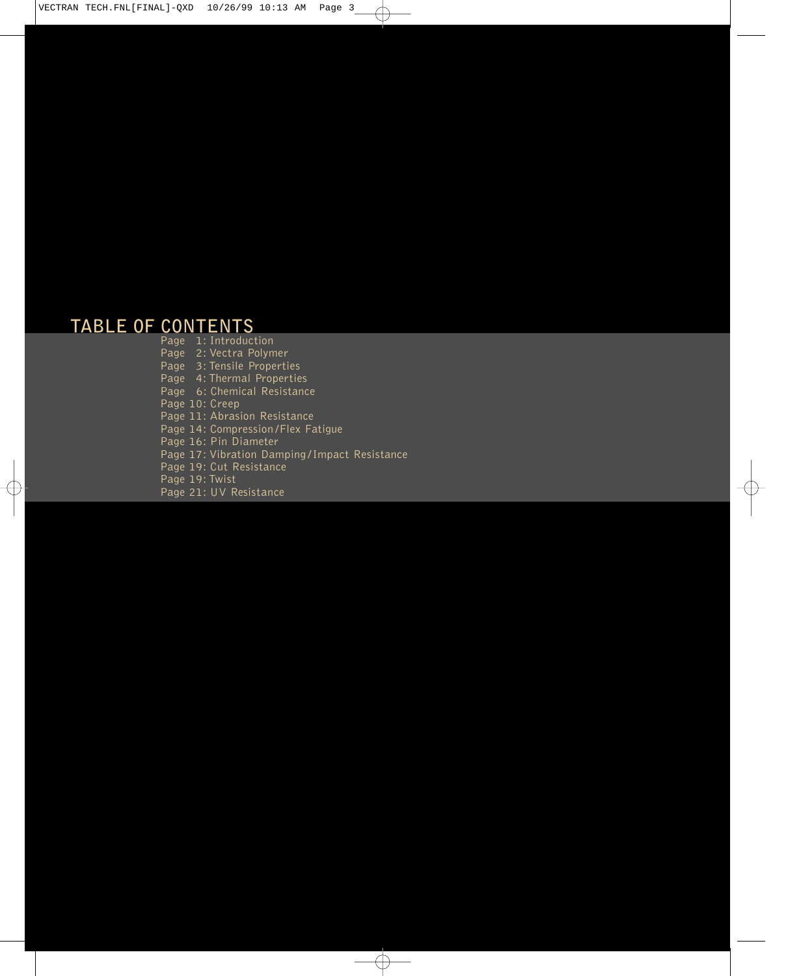### **TABLE OF CONTENTS**

Page 1: Introduction Page 2: Vectra Polymer Page 3: Tensile Properties Page 4: Thermal Properties Page 6: Chemical Resistance Page 10: Creep Page 11: Abrasion Resistance Page 14: Compression /Flex Fatigue Page 16: Pin Diameter Page 17: Vibration Damping /Impact Resistance Page 19: Cut Resistance Page 19: Twist Page 21: UV Resistance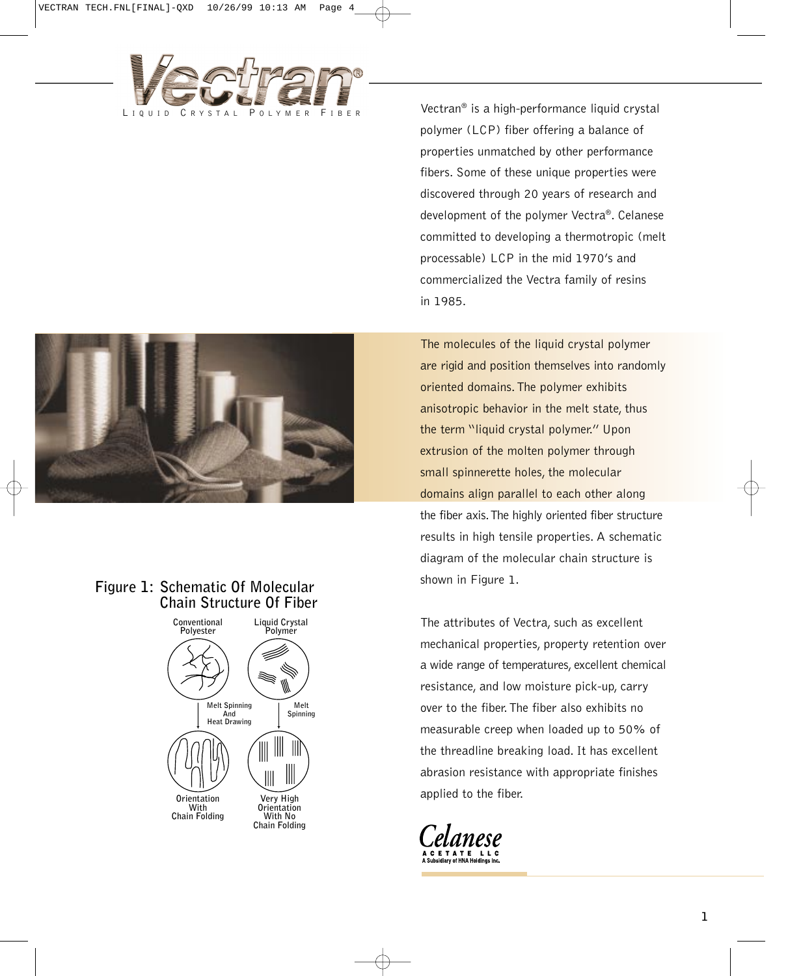

Vectran® is a high-performance liquid crystal polymer (LCP) fiber offering a balance of properties unmatched by other performance fibers. Some of these unique properties were discovered through 20 years of research and development of the polymer Vectra®. Celanese committed to developing a thermotropic (melt processable) LCP in the mid 1970's and commercialized the Vectra family of resins in 1985.

The molecules of the liquid crystal polymer are rigid and position themselves into randomly oriented domains.The polymer exhibits anisotropic behavior in the melt state, thus the term "liquid crystal polymer." Upon extrusion of the molten polymer through small spinnerette holes, the molecular domains align parallel to each other along the fiber axis.The highly oriented fiber structure results in high tensile properties. A schematic diagram of the molecular chain structure is shown in Figure 1.

The attributes of Vectra, such as excellent mechanical properties, property retention over a wide range of temperatures, excellent chemical resistance, and low moisture pick-up, carry over to the fiber.The fiber also exhibits no measurable creep when loaded up to 50% of the threadline breaking load. It has excellent abrasion resistance with appropriate finishes applied to the fiber.





### **Figure 1: Schematic Of Molecular Chain Structure Of Fiber**

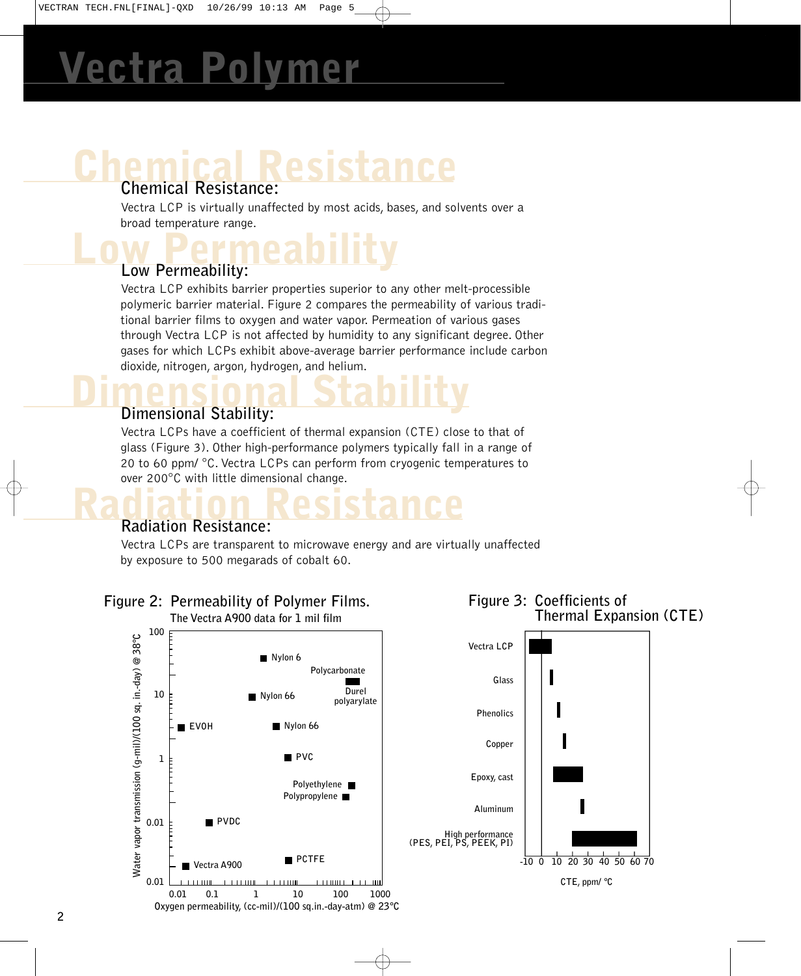## **Chemical Resistance Chemical Resistance:**

Vectra LCP is virtually unaffected by most acids, bases, and solvents over a broad temperature range.

### **Low Permeability Low Permeability:**

Vectra LCP exhibits barrier properties superior to any other melt-processible polymeric barrier material. Figure 2 compares the permeability of various traditional barrier films to oxygen and water vapor. Permeation of various gases through Vectra LCP is not affected by humidity to any significant degree. Other gases for which LCPs exhibit above-average barrier performance include carbon dioxide, nitrogen, argon, hydrogen, and helium.

## **Dimensional Stability Dimensional Stability:**

Vectra LCPs have a coefficient of thermal expansion (CTE) close to that of glass (Figure 3). Other high-performance polymers typically fall in a range of 20 to 60 ppm/ °C. Vectra LCPs can perform from cryogenic temperatures to over 200°C with little dimensional change.

### **Radiation Resistance Radiation Resistance:**

Vectra LCPs are transparent to microwave energy and are virtually unaffected by exposure to 500 megarads of cobalt 60.

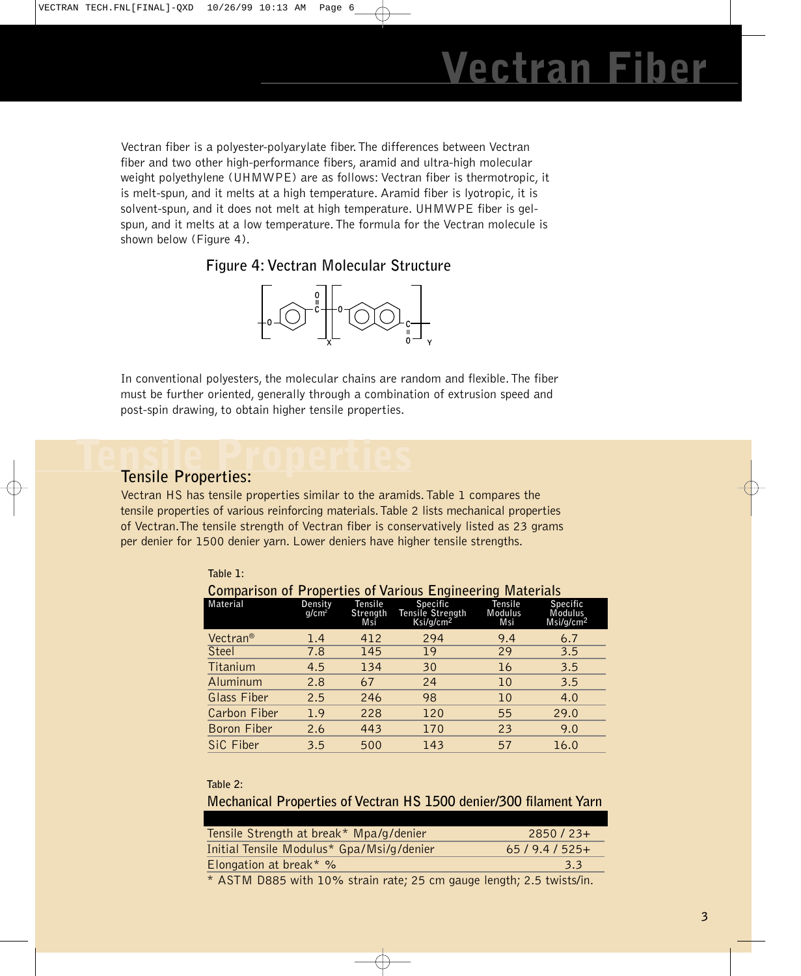# **Tran Fi**

Vectran fiber is a polyester-polyarylate fiber.The differences between Vectran fiber and two other high-performance fibers, aramid and ultra-high molecular weight polyethylene (UHMWPE) are as follows: Vectran fiber is thermotropic, it is melt-spun, and it melts at a high temperature. Aramid fiber is lyotropic, it is solvent-spun, and it does not melt at high temperature. UHMWPE fiber is gelspun, and it melts at a low temperature. The formula for the Vectran molecule is shown below (Figure 4).

**Figure 4: Vectran Molecular Structure**



In conventional polyesters, the molecular chains are random and flexible.The fiber must be further oriented, generally through a combination of extrusion speed and post-spin drawing, to obtain higher tensile properties.

### Tensile Properties<sup>:</sup> **Tensile Properties:**

Vectran HS has tensile properties similar to the aramids.Table 1 compares the tensile properties of various reinforcing materials.Table 2 lists mechanical properties of Vectran.The tensile strength of Vectran fiber is conservatively listed as 23 grams per denier for 1500 denier yarn. Lower deniers have higher tensile strengths.

| Table 1:                                                         |                     |                            |                                                              |                           |                                                     |  |  |
|------------------------------------------------------------------|---------------------|----------------------------|--------------------------------------------------------------|---------------------------|-----------------------------------------------------|--|--|
| <b>Comparison of Properties of Various Engineering Materials</b> |                     |                            |                                                              |                           |                                                     |  |  |
| <b>Material</b>                                                  | Density<br>$q/cm^2$ | Tensile<br>Strength<br>Msi | <b>Specific</b><br>Tensile Strength<br>Ksi/g/cm <sup>2</sup> | Tensile<br>Modulus<br>Msi | <b>Specific</b><br>Modulus<br>Msi/g/cm <sup>2</sup> |  |  |
| Vectran®                                                         | 1.4                 | 412                        | 294                                                          | 9.4                       | 6.7                                                 |  |  |
| Steel                                                            | 7.8                 | 145                        | 19                                                           | 29                        | 3.5                                                 |  |  |
| Titanium                                                         | 4.5                 | 134                        | 30                                                           | 16                        | 3.5                                                 |  |  |
| Aluminum                                                         | 2.8                 | 67                         | 24                                                           | 10                        | 3.5                                                 |  |  |
| <b>Glass Fiber</b>                                               | 2.5                 | 246                        | 98                                                           | 10                        | 4.0                                                 |  |  |
| Carbon Fiber                                                     | 1.9                 | 228                        | 120                                                          | 55                        | 29.0                                                |  |  |
| Boron Fiber                                                      | 2.6                 | 443                        | 170                                                          | 23                        | 9.0                                                 |  |  |
| SiC Fiber                                                        | 3.5                 | 500                        | 143                                                          | 57                        | 16.0                                                |  |  |

### **Table 2:**

**Mechanical Properties of Vectran HS 1500 denier/300 filament Yarn**

| Tensile Strength at break* Mpa/g/denier                                           | $2850/23+$    |
|-----------------------------------------------------------------------------------|---------------|
| Initial Tensile Modulus* Gpa/Msi/g/denier                                         | $65/9.4/525+$ |
| Elongation at break $*$ %                                                         | 3.3           |
| $\star$ ACTM DOOF $\sim$ 10, 100/ starts and one can accept hotel one to the U.S. |               |

\* ASTM D885 with 10% strain rate; 25 cm gauge length; 2.5 twists/in.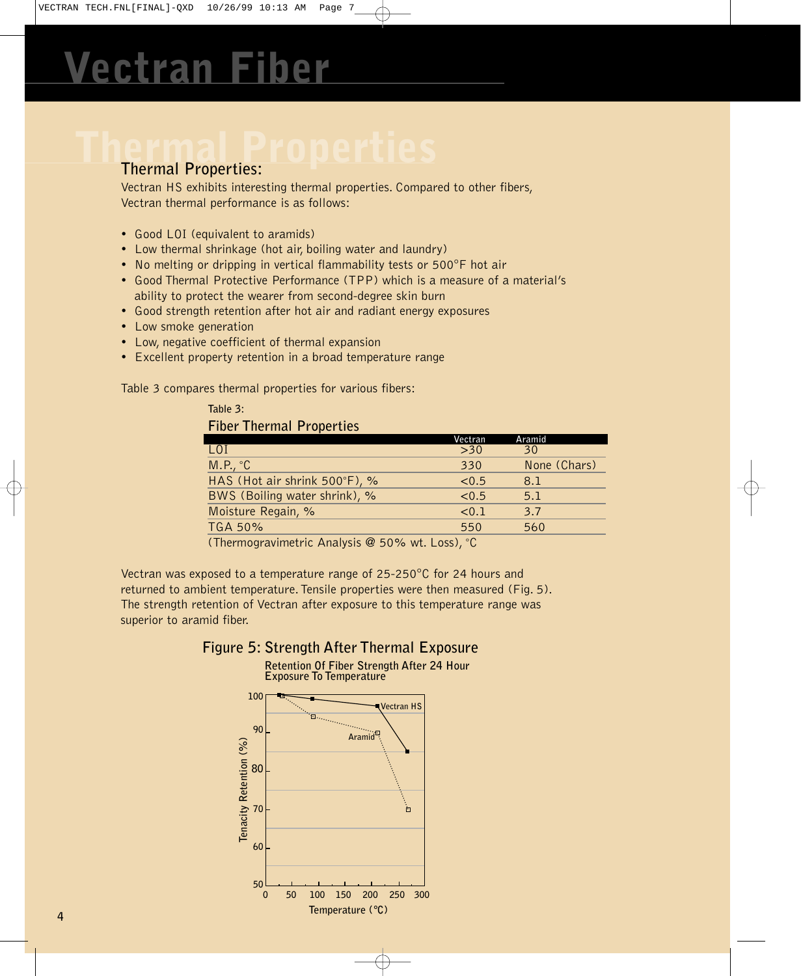### **Thermal Properties:**

Vectran HS exhibits interesting thermal properties. Compared to other fibers, Vectran thermal performance is as follows:

- Good LOI (equivalent to aramids)
- Low thermal shrinkage (hot air, boiling water and laundry)
- No melting or dripping in vertical flammability tests or 500°F hot air
- Good Thermal Protective Performance (TPP) which is a measure of a material's ability to protect the wearer from second-degree skin burn
- Good strength retention after hot air and radiant energy exposures
- Low smoke generation
- Low, negative coefficient of thermal expansion
- Excellent property retention in a broad temperature range

Table 3 compares thermal properties for various fibers:

### **Table 3: Fiber Thermal Properties**

|                               | Vectran              | Aramid       |
|-------------------------------|----------------------|--------------|
| LOI                           | $>30$                | 30           |
| M.P., °C                      | 330                  | None (Chars) |
| HAS (Hot air shrink 500°F), % | < 0.5                | 8.1          |
| BWS (Boiling water shrink), % | < 0.5                | 5.1          |
| Moisture Regain, %            | < 0.1                | 3.7          |
| <b>TGA 50%</b>                | 550                  | 560          |
| $\sim$<br>.                   | $\sim$ $\sim$ $\sim$ |              |

(Thermogravimetric Analysis @ 50% wt. Loss), °C

Vectran was exposed to a temperature range of 25-250°C for 24 hours and returned to ambient temperature. Tensile properties were then measured (Fig. 5). The strength retention of Vectran after exposure to this temperature range was superior to aramid fiber.

### **Figure 5: Strength After Thermal Exposure**

**Retention Of Fiber Strength After 24 Hour** 

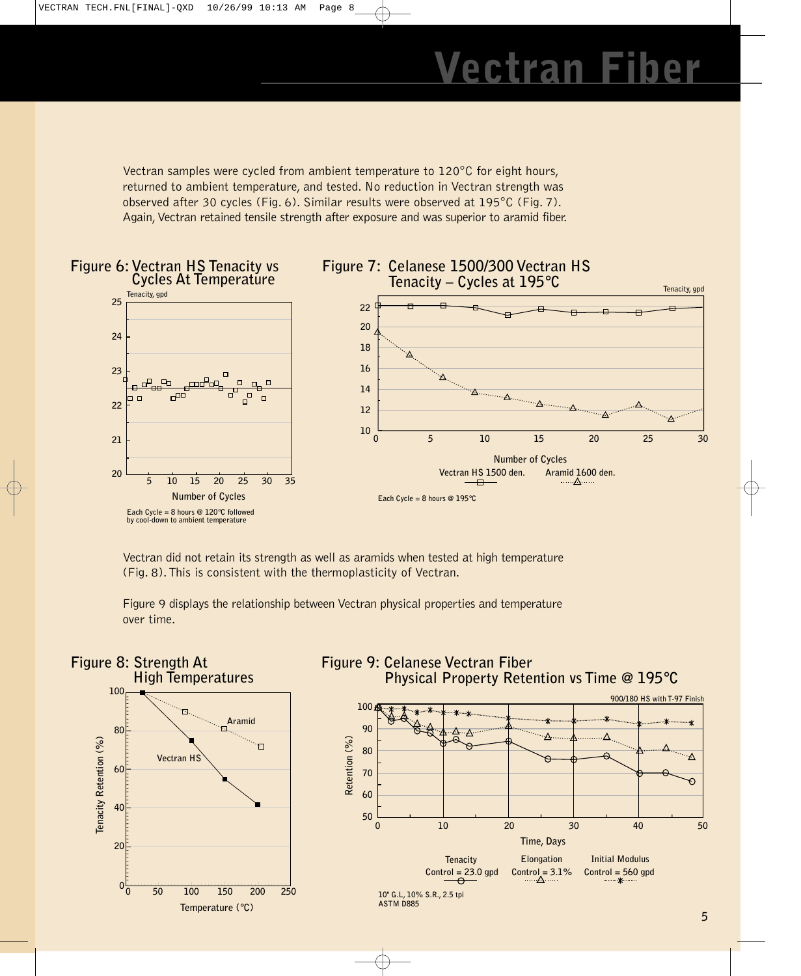Vectran samples were cycled from ambient temperature to 120°C for eight hours, returned to ambient temperature, and tested. No reduction in Vectran strength was observed after 30 cycles (Fig. 6). Similar results were observed at 195°C (Fig. 7). Again, Vectran retained tensile strength after exposure and was superior to aramid fiber.



Vectran did not retain its strength as well as aramids when tested at high temperature (Fig. 8).This is consistent with the thermoplasticity of Vectran.

Figure 9 displays the relationship between Vectran physical properties and temperature over time.

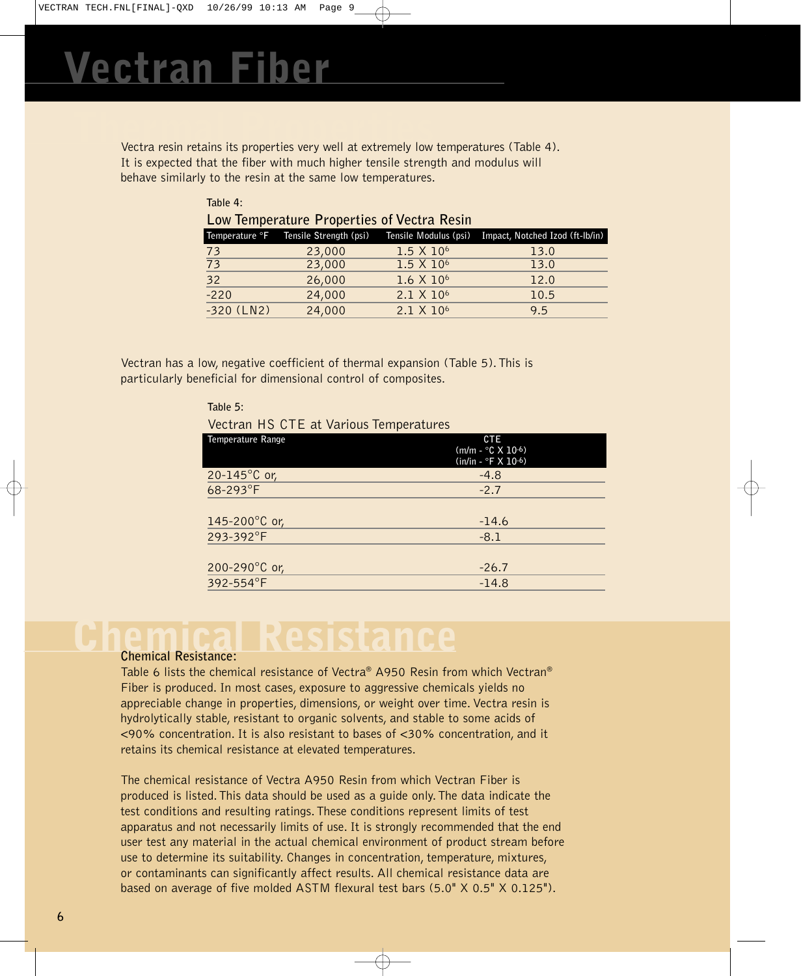**Thermal Properties** Vectra resin retains its properties very well at extremely low temperatures (Table 4). It is expected that the fiber with much higher tensile strength and modulus will behave similarly to the resin at the same low temperatures.

| Table 4:                                   |                                       |                       |                                 |  |  |  |
|--------------------------------------------|---------------------------------------|-----------------------|---------------------------------|--|--|--|
| Low Temperature Properties of Vectra Resin |                                       |                       |                                 |  |  |  |
|                                            | Temperature °F Tensile Strength (psi) | Tensile Modulus (psi) | Impact, Notched Izod (ft-Ib/in) |  |  |  |
| 73                                         | 23,000                                | 1.5 X 10 <sup>6</sup> | 13.0                            |  |  |  |
| $\overline{73}$                            | 23,000                                | 1.5 X 10 <sup>6</sup> | 13.0                            |  |  |  |
| $\overline{32}$                            | 26,000                                | 1.6 X 10 <sup>6</sup> | 12.0                            |  |  |  |
| $-220$                                     | 24,000                                | 2.1 X 10 <sup>6</sup> | 10.5                            |  |  |  |
| $-320$ (LN2)                               | 24,000                                | 2.1 X 10 <sup>6</sup> | 9.5                             |  |  |  |

Vectran has a low, negative coefficient of thermal expansion (Table 5).This is particularly beneficial for dimensional control of composites.

| Table 5:                               |                                                              |
|----------------------------------------|--------------------------------------------------------------|
| Vectran HS CTE at Various Temperatures |                                                              |
| <b>Temperature Range</b>               | <b>CTE</b><br>$(m/m - C X 10^{-6})$<br>$(in/in - oF X 10-6)$ |
| 20-145 $^{\circ}$ C or,                | $-4.8$                                                       |
| 68-293°F                               | $-2.7$                                                       |
|                                        |                                                              |
| 145-200 $^{\circ}$ C or,               | $-14.6$                                                      |
| 293-392°F                              | $-8.1$                                                       |
|                                        |                                                              |
| 200-290 $^{\circ}$ C or,               | $-26.7$                                                      |
| 392-554°F                              | $-14.8$                                                      |
|                                        |                                                              |

# **Chemical Resistance**

### **Chemical Resistance:**

Table 6 lists the chemical resistance of Vectra® A950 Resin from which Vectran® Fiber is produced. In most cases, exposure to aggressive chemicals yields no appreciable change in properties, dimensions, or weight over time. Vectra resin is hydrolytically stable, resistant to organic solvents, and stable to some acids of <90% concentration. It is also resistant to bases of <30% concentration, and it retains its chemical resistance at elevated temperatures.

The chemical resistance of Vectra A950 Resin from which Vectran Fiber is produced is listed.This data should be used as a guide only.The data indicate the test conditions and resulting ratings.These conditions represent limits of test apparatus and not necessarily limits of use. It is strongly recommended that the end user test any material in the actual chemical environment of product stream before use to determine its suitability. Changes in concentration, temperature, mixtures, or contaminants can significantly affect results. All chemical resistance data are based on average of five molded ASTM flexural test bars (5.0" X 0.5" X 0.125").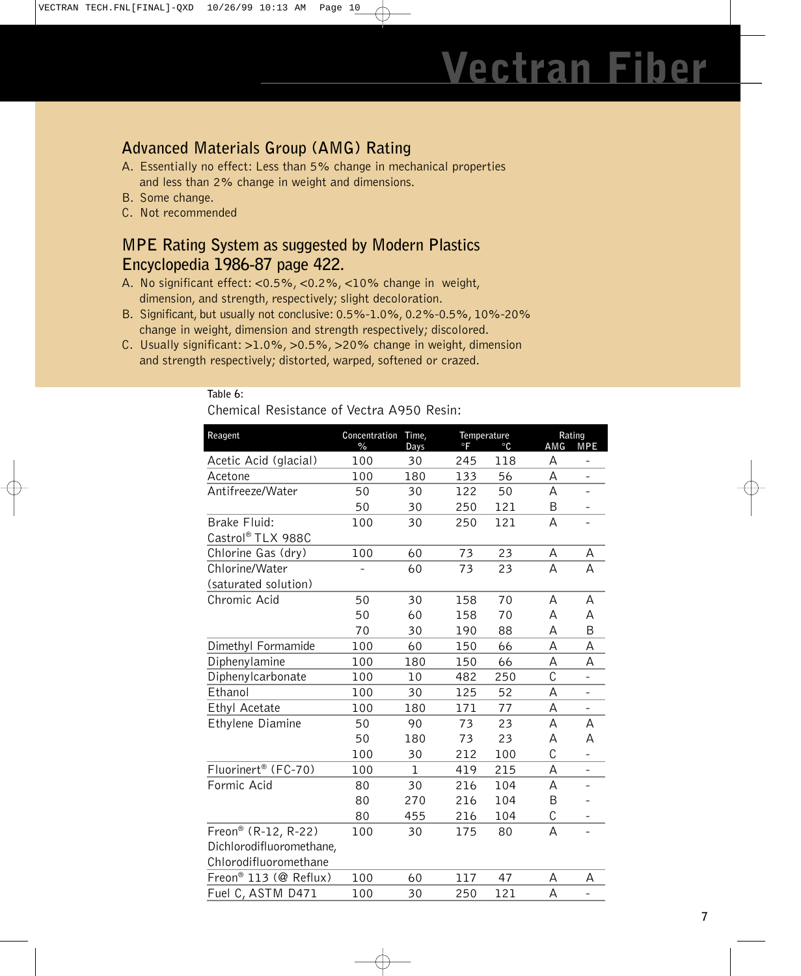### **Advanced Materials Group (AMG) Rating**

- A. Essentially no effect: Less than 5% change in mechanical properties and less than 2% change in weight and dimensions.
- B. Some change.
- C. Not recommended

**Table 6:**

### **MPE Rating System as suggested by Modern Plastics Encyclopedia 1986-87 page 422.**

- A. No significant effect: <0.5%, <0.2%, <10% change in weight, dimension, and strength, respectively; slight decoloration.
- B. Significant, but usually not conclusive: 0.5%-1.0%, 0.2%-0.5%, 10%-20% change in weight, dimension and strength respectively; discolored.
- C. Usually significant: >1.0%, >0.5%, >20% change in weight, dimension and strength respectively; distorted, warped, softened or crazed.

| Chemical Resistance of Vectra A950 Resin: |                             |             |                          |           |                |                          |  |
|-------------------------------------------|-----------------------------|-------------|--------------------------|-----------|----------------|--------------------------|--|
| Reagent                                   | Concentration Time,<br>$\%$ | Days        | Temperature<br>$\circ$ F | $\circ$ C | Rating<br>AMG  | <b>MPE</b>               |  |
| Acetic Acid (glacial)                     | 100                         | 30          | 245                      | 118       | A              | -                        |  |
| Acetone                                   | 100                         | 180         | 133                      | 56        | A              |                          |  |
| Antifreeze/Water                          | 50                          | 30          | 122                      | 50        | А              |                          |  |
|                                           | 50                          | 30          | 250                      | 121       | B              | -                        |  |
| Brake Fluid:                              | 100                         | 30          | 250                      | 121       | А              | $\qquad \qquad -$        |  |
| Castrol® TLX 988C                         |                             |             |                          |           |                |                          |  |
| Chlorine Gas (dry)                        | 100                         | 60          | 73                       | 23        | А              | А                        |  |
| Chlorine/Water                            |                             | 60          | 73                       | 23        | A              | A                        |  |
| (saturated solution)                      |                             |             |                          |           |                |                          |  |
| Chromic Acid                              | 50                          | 30          | 158                      | 70        | A              | А                        |  |
|                                           | 50                          | 60          | 158                      | 70        | А              | А                        |  |
|                                           | 70                          | 30          | 190                      | 88        | A              | B                        |  |
| Dimethyl Formamide                        | 100                         | 60          | 150                      | 66        | A              | А                        |  |
| Diphenylamine                             | 100                         | 180         | 150                      | 66        | А              | А                        |  |
| Diphenylcarbonate                         | 100                         | 10          | 482                      | 250       | $\mathsf{C}$   | $\overline{a}$           |  |
| Ethanol                                   | 100                         | 30          | 125                      | 52        | A              |                          |  |
| Ethyl Acetate                             | 100                         | 180         | 171                      | 77        | A              | $\qquad \qquad -$        |  |
| Ethylene Diamine                          | 50                          | 90          | 73                       | 23        | А              | А                        |  |
|                                           | 50                          | 180         | 73                       | 23        | А              | А                        |  |
|                                           | 100                         | 30          | 212                      | 100       | C              | $\overline{\phantom{0}}$ |  |
| Fluorinert <sup>®</sup> (FC-70)           | 100                         | $\mathbf 1$ | 419                      | 215       | А              | $\qquad \qquad -$        |  |
| Formic Acid                               | 80                          | 30          | 216                      | 104       | A              |                          |  |
|                                           | 80                          | 270         | 216                      | 104       | B              |                          |  |
|                                           | 80                          | 455         | 216                      | 104       | C              | -                        |  |
| Freon® (R-12, R-22)                       | 100                         | 30          | 175                      | 80        | $\overline{A}$ | $\overline{a}$           |  |
| Dichlorodifluoromethane,                  |                             |             |                          |           |                |                          |  |
| Chlorodifluoromethane                     |                             |             |                          |           |                |                          |  |
| Freon® 113 (@ Reflux)                     | 100                         | 60          | 117                      | 47        | А              | Α                        |  |
| Fuel C, ASTM D471                         | 100                         | 30          | 250                      | 121       | А              |                          |  |
|                                           |                             |             |                          |           |                |                          |  |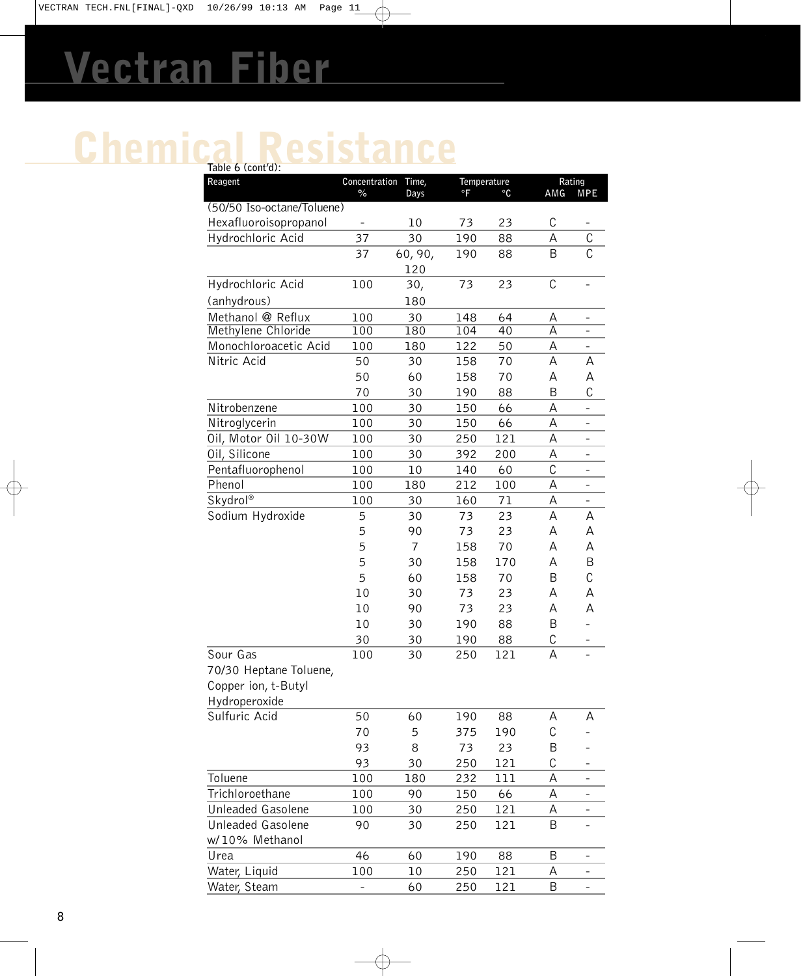# **Chemical Resistance Table 6 (cont'd):**

| rable 6 (cont'd):                  |                       |               |                   |           |                  |                           |
|------------------------------------|-----------------------|---------------|-------------------|-----------|------------------|---------------------------|
| Reagent                            | Concentration<br>$\%$ | Time,<br>Days | Temperature<br>°F | $\circ$ C | AMG              | Rating<br><b>MPE</b>      |
| (50/50 Iso-octane/Toluene)         |                       |               |                   |           |                  |                           |
| Hexafluoroisopropanol              |                       | 10            | 73                | 23        | C                |                           |
| Hydrochloric Acid                  | 37                    | 30            | 190               | 88        | А                | С                         |
|                                    | 37                    | 60, 90,       | 190               | 88        | B                | $\overline{\mathfrak{c}}$ |
|                                    |                       | 120           |                   |           |                  |                           |
| Hydrochloric Acid                  | 100                   | 30,           | 73                | 23        | C                |                           |
| (anhydrous)                        |                       | 180           |                   |           |                  |                           |
| Methanol @ Reflux                  | 100                   | 30            | 148               | 64        | Α                |                           |
| Methylene Chloride                 | 100                   | 180           | 104               | 40        | А                | $\overline{\phantom{0}}$  |
| Monochloroacetic Acid              | 100                   | 180           | 122               | 50        | А                | $\overline{\phantom{0}}$  |
| Nitric Acid                        | 50                    | 30            | 158               | 70        | А                | Α                         |
|                                    | 50                    | 60            | 158               | 70        | А                | А                         |
|                                    | 70                    | 30            | 190               | 88        | B                | C                         |
| Nitrobenzene                       | 100                   | 30            | 150               | 66        | А                | $\overline{\phantom{a}}$  |
| Nitroglycerin                      | 100                   | 30            | 150               | 66        | А                | $\overline{\phantom{0}}$  |
| Oil, Motor Oil 10-30W              | 100                   | 30            | 250               | 121       | А                | -                         |
| Oil, Silicone<br>Pentafluorophenol | 100<br>100            | 30            | 392               | 200<br>60 | А<br>$\mathsf C$ | -                         |
| Phenol                             | 100                   | 10<br>180     | 140<br>212        | 100       | A                | -<br>$\qquad \qquad -$    |
| Skydrol®                           | 100                   | 30            | 160               | 71        | А                | $\overline{\phantom{0}}$  |
| Sodium Hydroxide                   | 5                     | 30            | 73                | 23        | А                | А                         |
|                                    | 5                     | 90            | 73                | 23        | А                | Α                         |
|                                    | 5                     | 7             | 158               | 70        | Α                | A                         |
|                                    | 5                     | 30            | 158               | 170       | А                | B                         |
|                                    | 5                     | 60            | 158               | 70        | B                | C                         |
|                                    | 10                    | 30            | 73                | 23        | А                | А                         |
|                                    | 10                    | 90            | 73                | 23        | А                | А                         |
|                                    | 10                    | 30            | 190               | 88        | B                |                           |
|                                    | 30                    | 30            | 190               | 88        | С                | -                         |
| Sour Gas                           | 100                   | 30            | 250               | 121       | A                | $\overline{\phantom{0}}$  |
| 70/30 Heptane Toluene,             |                       |               |                   |           |                  |                           |
| Copper ion, t-Butyl                |                       |               |                   |           |                  |                           |
| Hydroperoxide                      |                       |               |                   |           |                  |                           |
| Sulfuric Acid                      | 50                    | 60            | 190               | 88        | A                | А                         |
|                                    | 70                    | 5             | 375               | 190       | С                |                           |
|                                    | 93                    | 8             | 73                | 23        | Β                |                           |
|                                    | 93                    | 30            | 250               | 121       | C                |                           |
| Toluene                            | 100                   | 180           | 232               | 111       | А                | -                         |
| Trichloroethane                    | 100                   | 90            | 150               | 66        | А                | $\overline{\phantom{0}}$  |
| Unleaded Gasolene                  | 100                   | 30            | 250               | 121       | А                | $\overline{a}$            |
| Unleaded Gasolene                  | 90                    | 30            | 250               | 121       | B                |                           |
| w/10% Methanol                     |                       |               |                   |           |                  |                           |
| Urea                               | 46                    | 60            | 190               | 88        | B                |                           |
| Water, Liquid                      | 100                   | 10            | 250               | 121       | Α                | -                         |
| Water, Steam                       |                       | 60            | 250               | 121       | B                | $\overline{a}$            |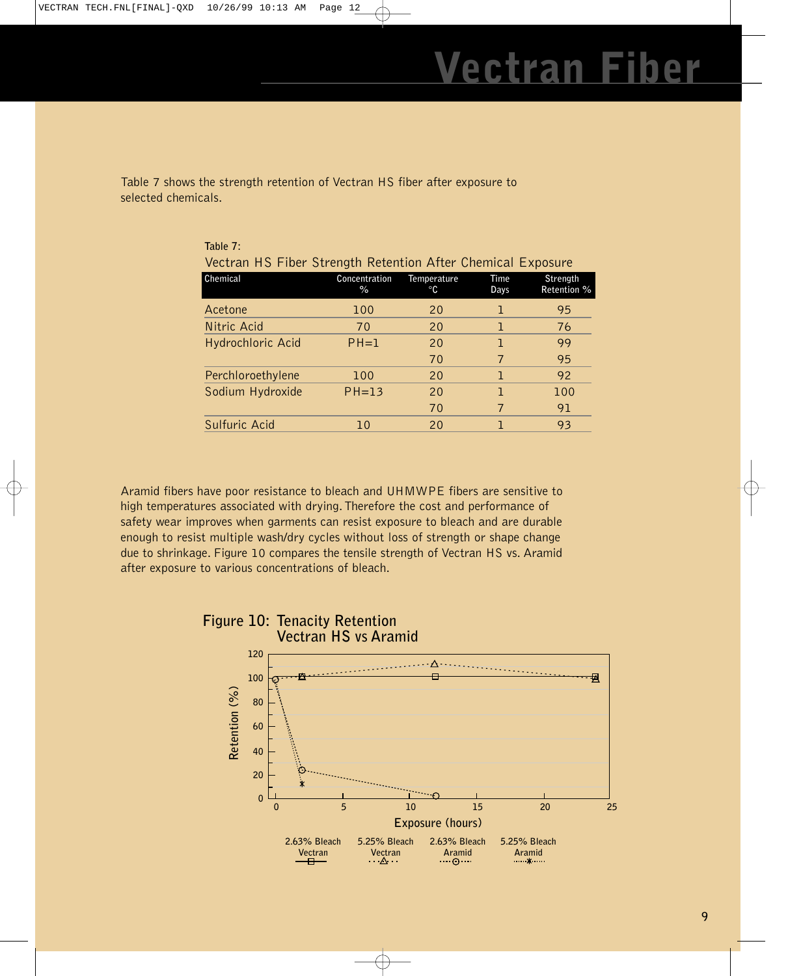Table 7 shows the strength retention of Vectran HS fiber after exposure to selected chemicals.

| Table 7:                                                    |                       |                   |                     |                         |
|-------------------------------------------------------------|-----------------------|-------------------|---------------------|-------------------------|
| Vectran HS Fiber Strength Retention After Chemical Exposure |                       |                   |                     |                         |
| Chemical                                                    | Concentration<br>$\%$ | Temperature<br>°C | <b>Time</b><br>Days | Strength<br>Retention % |
| Acetone                                                     | 100                   | 20                | ٦                   | 95                      |
| Nitric Acid                                                 | 70                    | 20                | ı                   | 76                      |
| Hydrochloric Acid                                           | $PH=1$                | 20                | ı                   | 99                      |
|                                                             |                       | 70                |                     | 95                      |
| Perchloroethylene                                           | 100                   | 20                | ı                   | 92                      |
| Sodium Hydroxide                                            | $PH=13$               | 20                | ٦                   | 100                     |
|                                                             |                       | 70                | 7                   | 91                      |
| Sulfuric Acid                                               | 10                    | 20                |                     | 93                      |
|                                                             |                       |                   |                     |                         |

Aramid fibers have poor resistance to bleach and UHMWPE fibers are sensitive to high temperatures associated with drying. Therefore the cost and performance of safety wear improves when garments can resist exposure to bleach and are durable enough to resist multiple wash/dry cycles without loss of strength or shape change due to shrinkage. Figure 10 compares the tensile strength of Vectran HS vs. Aramid after exposure to various concentrations of bleach.

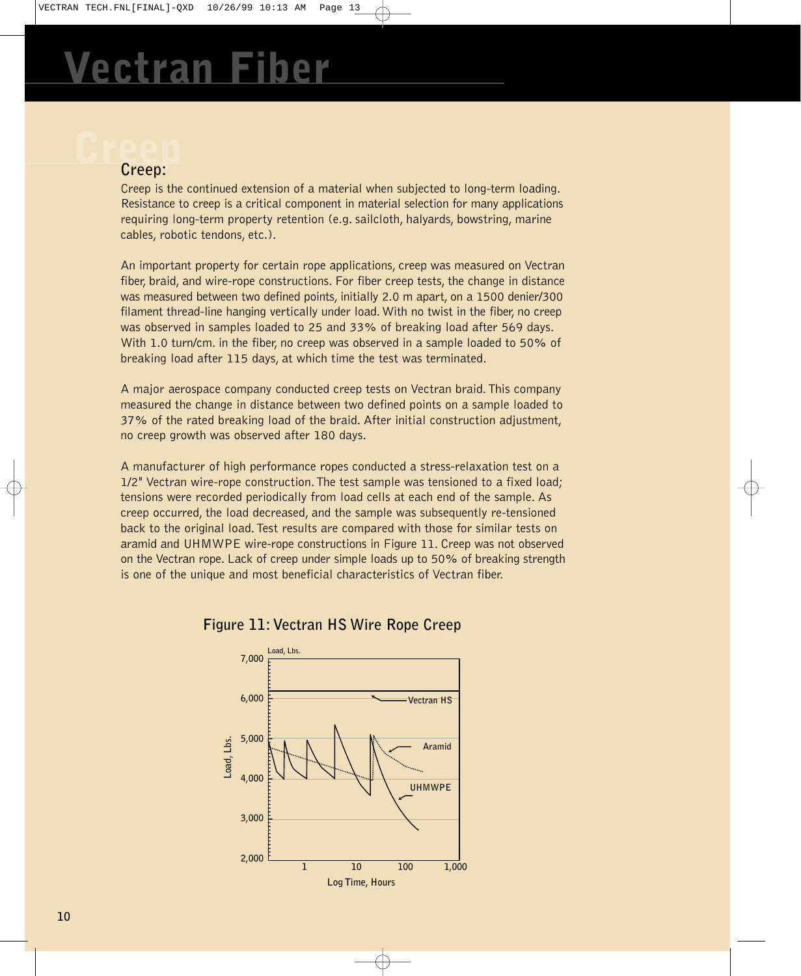### **Creep Creep:**

Creep is the continued extension of a material when subjected to long-term loading. Resistance to creep is a critical component in material selection for many applications requiring long-term property retention (e.g. sailcloth, halyards, bowstring, marine cables, robotic tendons, etc.).

An important property for certain rope applications, creep was measured on Vectran fiber, braid, and wire-rope constructions. For fiber creep tests, the change in distance was measured between two defined points, initially 2.0 m apart, on a 1500 denier/300 filament thread-line hanging vertically under load. With no twist in the fiber, no creep was observed in samples loaded to 25 and 33% of breaking load after 569 days. With 1.0 turn/cm. in the fiber, no creep was observed in a sample loaded to 50% of breaking load after 115 days, at which time the test was terminated.

A major aerospace company conducted creep tests on Vectran braid.This company measured the change in distance between two defined points on a sample loaded to 37% of the rated breaking load of the braid. After initial construction adjustment, no creep growth was observed after 180 days.

A manufacturer of high performance ropes conducted a stress-relaxation test on a 1/2" Vectran wire-rope construction.The test sample was tensioned to a fixed load; tensions were recorded periodically from load cells at each end of the sample. As creep occurred, the load decreased, and the sample was subsequently re-tensioned back to the original load.Test results are compared with those for similar tests on aramid and UHMWPE wire-rope constructions in Figure 11. Creep was not observed on the Vectran rope. Lack of creep under simple loads up to 50% of breaking strength is one of the unique and most beneficial characteristics of Vectran fiber.



**Figure 11: Vectran HS Wire Rope Creep**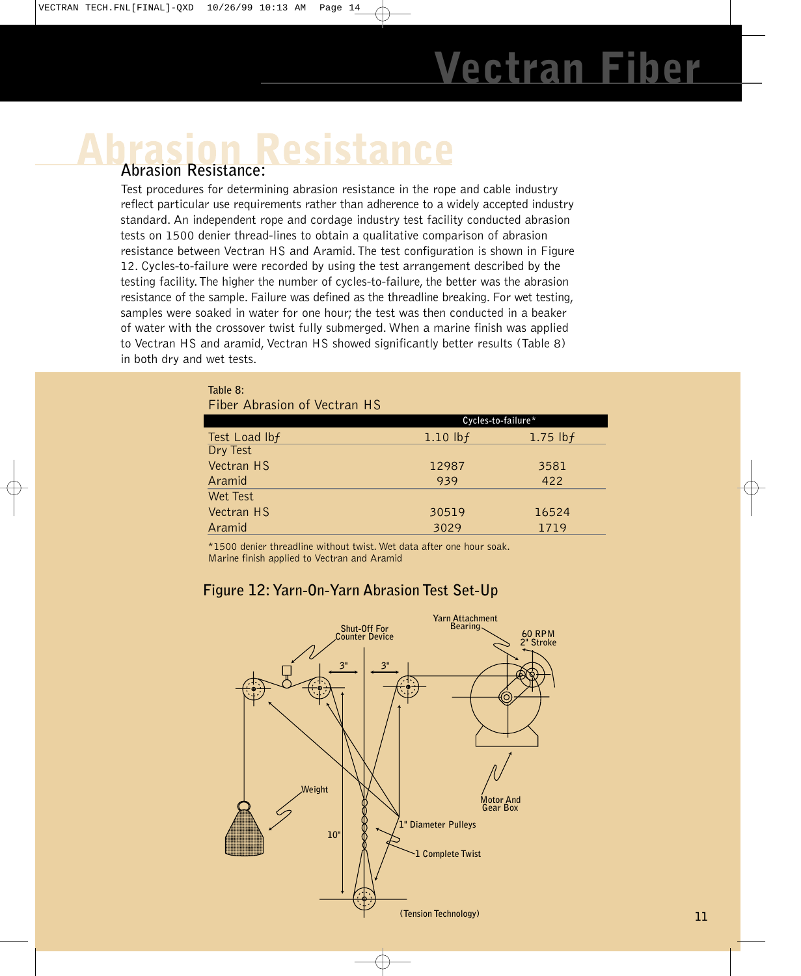# Resistance

### **Abrasion Resistance:**

Test procedures for determining abrasion resistance in the rope and cable industry reflect particular use requirements rather than adherence to a widely accepted industry standard. An independent rope and cordage industry test facility conducted abrasion tests on 1500 denier thread-lines to obtain a qualitative comparison of abrasion resistance between Vectran HS and Aramid.The test configuration is shown in Figure 12. Cycles-to-failure were recorded by using the test arrangement described by the testing facility.The higher the number of cycles-to-failure, the better was the abrasion resistance of the sample. Failure was defined as the threadline breaking. For wet testing, samples were soaked in water for one hour; the test was then conducted in a beaker of water with the crossover twist fully submerged. When a marine finish was applied to Vectran HS and aramid, Vectran HS showed significantly better results (Table 8) in both dry and wet tests.

| Table 8:                     |            |                     |
|------------------------------|------------|---------------------|
| Fiber Abrasion of Vectran HS |            |                     |
|                              |            | Cycles-to-failure*  |
| Test Load lbf                | 1.10 $lbf$ | 1.75 $\mathsf{lbf}$ |
| Dry Test                     |            |                     |
| Vectran HS                   | 12987      | 3581                |
| Aramid                       | 939        | 422                 |
| <b>Wet Test</b>              |            |                     |
| Vectran HS                   | 30519      | 16524               |
| Aramid                       | 3029       | 1719                |

\*1500 denier threadline without twist. Wet data after one hour soak. Marine finish applied to Vectran and Aramid

### **Figure 12: Yarn-On-Yarn Abrasion Test Set-Up**

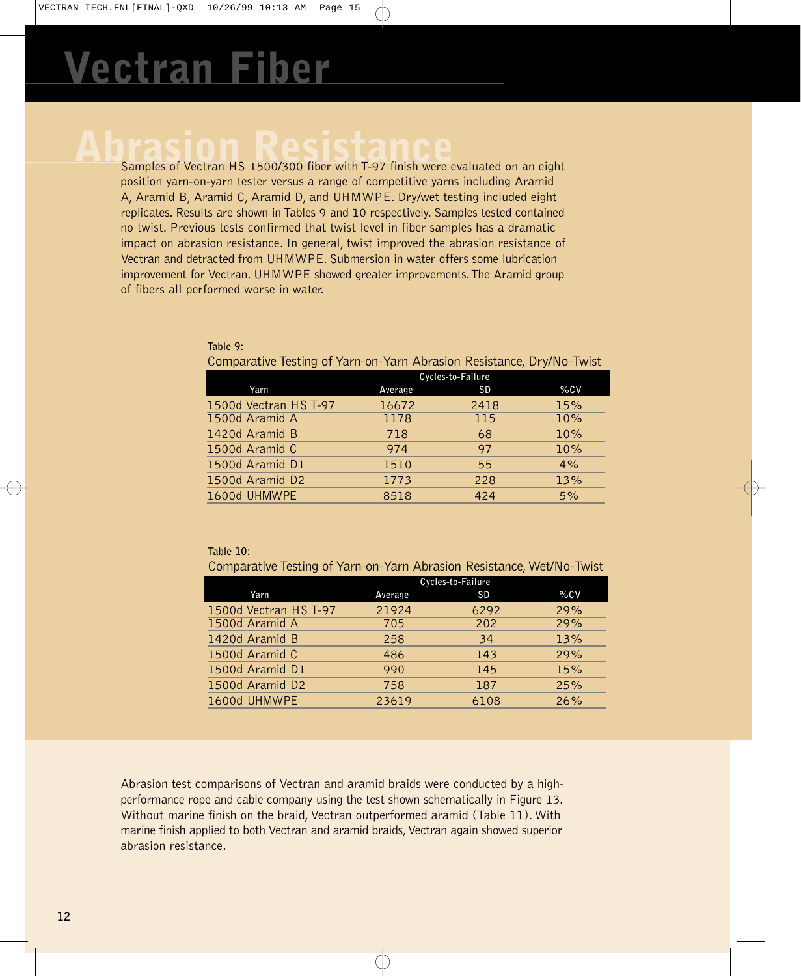**Abrasion Resistance** Samples of Vectran HS 1500/300 fiber with T-97 finish were evaluated on an eight position yarn-on-yarn tester versus a range of competitive yarns including Aramid A, Aramid B, Aramid C, Aramid D, and UHMWPE. Dry/wet testing included eight replicates. Results are shown in Tables 9 and 10 respectively. Samples tested contained no twist. Previous tests confirmed that twist level in fiber samples has a dramatic impact on abrasion resistance. In general, twist improved the abrasion resistance of Vectran and detracted from UHMWPE. Submersion in water offers some lubrication improvement for Vectran. UHMWPE showed greater improvements.The Aramid group of fibers all performed worse in water.

| Comparative Testing of Yarn-on-Yarn Abrasion Resistance, Dry/No-Twist |                   |           |     |  |  |  |
|-----------------------------------------------------------------------|-------------------|-----------|-----|--|--|--|
|                                                                       | Cycles-to-Failure |           |     |  |  |  |
| Yarn                                                                  | Average           | <b>SD</b> | %CV |  |  |  |
| 1500d Vectran HS T-97                                                 | 16672             | 2418      | 15% |  |  |  |
| 1500d Aramid A                                                        | 1178              | 115       | 10% |  |  |  |
| 1420d Aramid B                                                        | 718               | 68        | 10% |  |  |  |
| 1500d Aramid C                                                        | 974               | 97        | 10% |  |  |  |
| 1500d Aramid D1                                                       | 1510              | 55        | 4%  |  |  |  |
| 1500d Aramid D2                                                       | 1773              | 228       | 13% |  |  |  |
| 1600d UHMWPE                                                          | 8518              | 424       | 5%  |  |  |  |

**Table 9:**

| Table 10: |  |
|-----------|--|
|           |  |
|           |  |

Comparative Testing of Yarn-on-Yarn Abrasion Resistance, Wet/No-Twist

|                       | Cycles-to-Failure |           |     |  |  |  |
|-----------------------|-------------------|-----------|-----|--|--|--|
| Yarn                  | Average           | <b>SD</b> | %CV |  |  |  |
| 1500d Vectran HS T-97 | 21924             | 6292      | 29% |  |  |  |
| 1500d Aramid A        | 705               | 202       | 29% |  |  |  |
| 1420d Aramid B        | 258               | 34        | 13% |  |  |  |
| 1500d Aramid C        | 486               | 143       | 29% |  |  |  |
| 1500d Aramid D1       | 990               | 145       | 15% |  |  |  |
| 1500d Aramid D2       | 758               | 187       | 25% |  |  |  |
| 1600d UHMWPE          | 23619             | 6108      | 26% |  |  |  |

Abrasion test comparisons of Vectran and aramid braids were conducted by a highperformance rope and cable company using the test shown schematically in Figure 13. Without marine finish on the braid, Vectran outperformed aramid (Table 11). With marine finish applied to both Vectran and aramid braids, Vectran again showed superior abrasion resistance.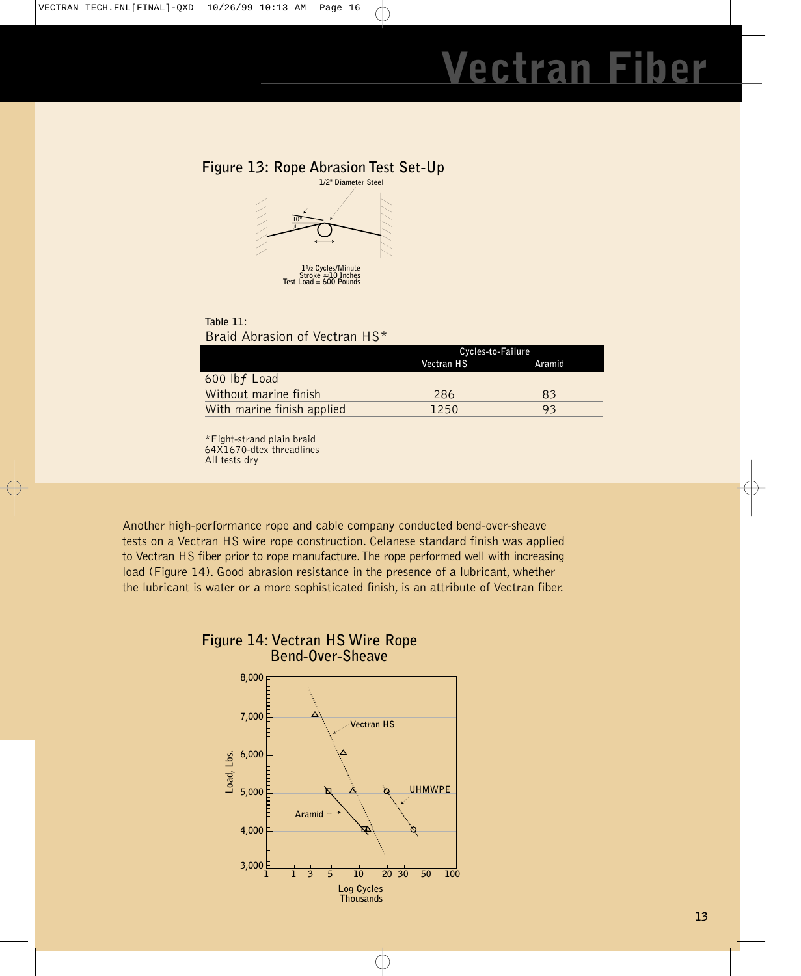### **Figure 13: Rope Abrasion Test Set-Up**



### **Table 11:** Braid Abrasion of Vectran HS\*

|                            | Cycles-to-Failure |        |  |
|----------------------------|-------------------|--------|--|
|                            | Vectran HS        | Aramid |  |
| 600 lbf Load               |                   |        |  |
| Without marine finish      | 286               | 83     |  |
| With marine finish applied | 1250              | 93     |  |

<sup>\*</sup>Eight-strand plain braid 64X1670-dtex threadlines All tests dry

Another high-performance rope and cable company conducted bend-over-sheave tests on a Vectran HS wire rope construction. Celanese standard finish was applied to Vectran HS fiber prior to rope manufacture.The rope performed well with increasing load (Figure 14). Good abrasion resistance in the presence of a lubricant, whether the lubricant is water or a more sophisticated finish, is an attribute of Vectran fiber.



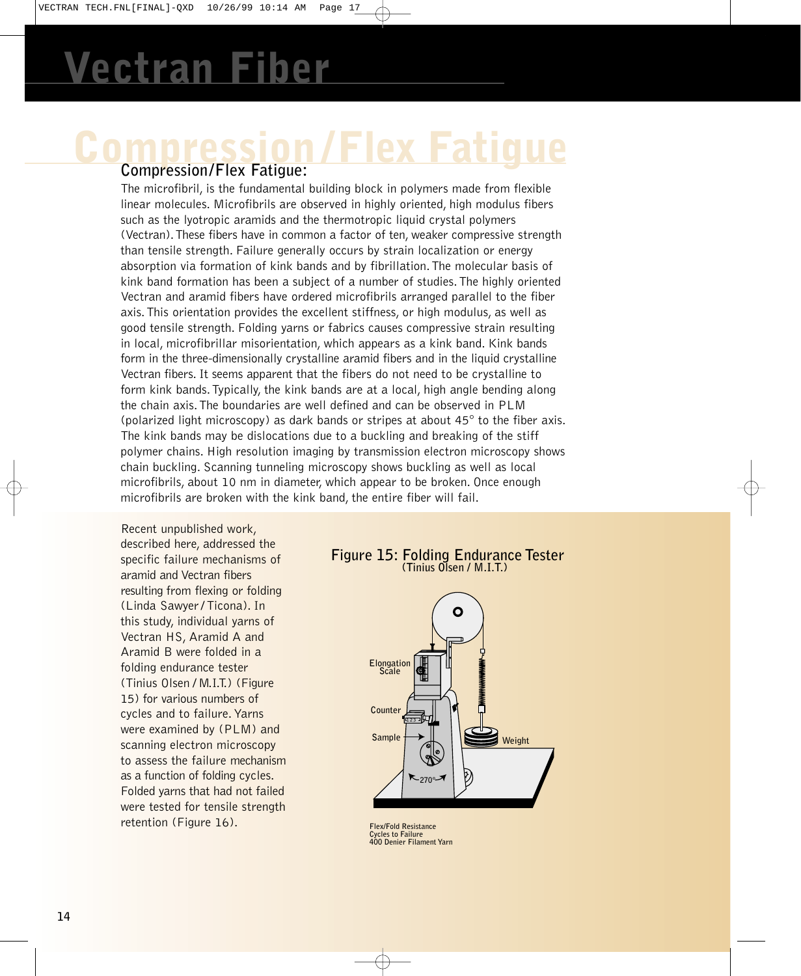# **Van**

# **Compression /Flex Fatigue Compression/Flex Fatigue:**

### The microfibril, is the fundamental building block in polymers made from flexible linear molecules. Microfibrils are observed in highly oriented, high modulus fibers such as the lyotropic aramids and the thermotropic liquid crystal polymers (Vectran).These fibers have in common a factor of ten, weaker compressive strength than tensile strength. Failure generally occurs by strain localization or energy absorption via formation of kink bands and by fibrillation.The molecular basis of kink band formation has been a subject of a number of studies.The highly oriented Vectran and aramid fibers have ordered microfibrils arranged parallel to the fiber axis.This orientation provides the excellent stiffness, or high modulus, as well as good tensile strength. Folding yarns or fabrics causes compressive strain resulting in local, microfibrillar misorientation, which appears as a kink band. Kink bands form in the three-dimensionally crystalline aramid fibers and in the liquid crystalline Vectran fibers. It seems apparent that the fibers do not need to be crystalline to form kink bands.Typically, the kink bands are at a local, high angle bending along the chain axis.The boundaries are well defined and can be observed in PLM (polarized light microscopy) as dark bands or stripes at about 45° to the fiber axis. The kink bands may be dislocations due to a buckling and breaking of the stiff polymer chains. High resolution imaging by transmission electron microscopy shows chain buckling. Scanning tunneling microscopy shows buckling as well as local microfibrils, about 10 nm in diameter, which appear to be broken. Once enough microfibrils are broken with the kink band, the entire fiber will fail.

Recent unpublished work, described here, addressed the specific failure mechanisms of aramid and Vectran fibers resulting from flexing or folding (Linda Sawyer / Ticona). In this study, individual yarns of Vectran HS, Aramid A and Aramid B were folded in a folding endurance tester (Tinius Olsen / M.I.T.) (Figure 15) for various numbers of cycles and to failure. Yarns were examined by (PLM) and scanning electron microscopy to assess the failure mechanism as a function of folding cycles. Folded yarns that had not failed were tested for tensile strength retention (Figure 16).

### **Figure 15: Folding Endurance Tester (Tinius Olsen / M.I.T.)**



**Flex/Fold Resistance Cycles to Failure 400 Denier Filament Yarn**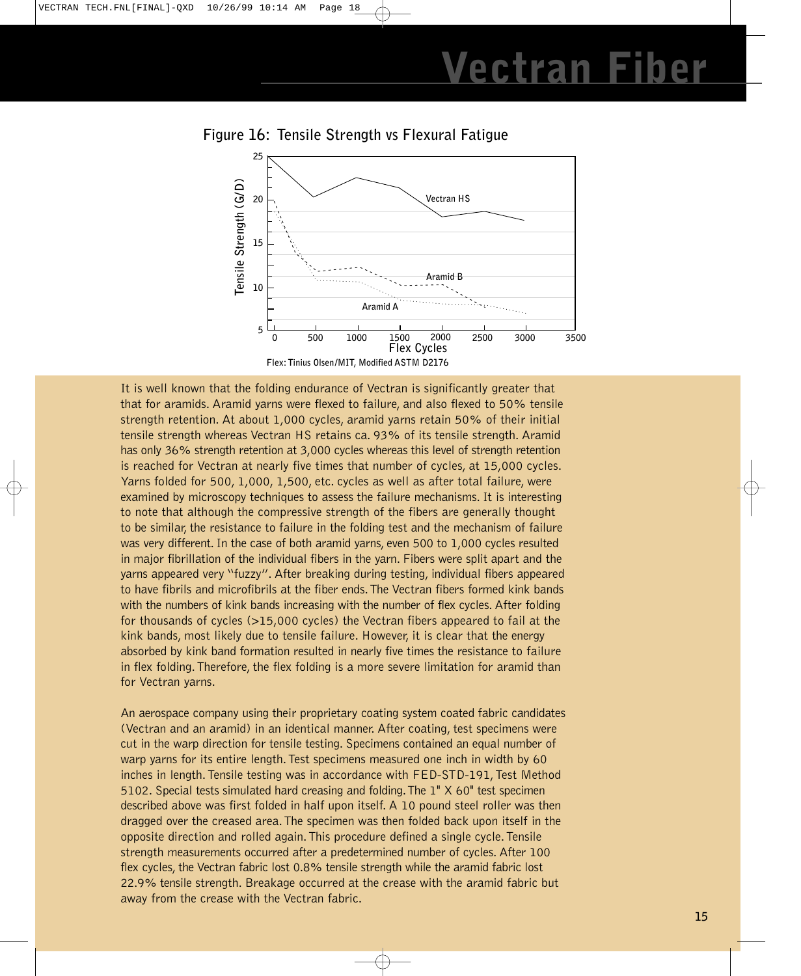



It is well known that the folding endurance of Vectran is significantly greater that that for aramids. Aramid yarns were flexed to failure, and also flexed to 50% tensile strength retention. At about 1,000 cycles, aramid yarns retain 50% of their initial tensile strength whereas Vectran HS retains ca. 93% of its tensile strength. Aramid has only 36% strength retention at 3,000 cycles whereas this level of strength retention is reached for Vectran at nearly five times that number of cycles, at 15,000 cycles. Yarns folded for 500, 1,000, 1,500, etc. cycles as well as after total failure, were examined by microscopy techniques to assess the failure mechanisms. It is interesting to note that although the compressive strength of the fibers are generally thought to be similar, the resistance to failure in the folding test and the mechanism of failure was very different. In the case of both aramid yarns, even 500 to 1,000 cycles resulted in major fibrillation of the individual fibers in the yarn. Fibers were split apart and the yarns appeared very "fuzzy". After breaking during testing, individual fibers appeared to have fibrils and microfibrils at the fiber ends.The Vectran fibers formed kink bands with the numbers of kink bands increasing with the number of flex cycles. After folding for thousands of cycles (>15,000 cycles) the Vectran fibers appeared to fail at the kink bands, most likely due to tensile failure. However, it is clear that the energy absorbed by kink band formation resulted in nearly five times the resistance to failure in flex folding.Therefore, the flex folding is a more severe limitation for aramid than for Vectran yarns.

An aerospace company using their proprietary coating system coated fabric candidates (Vectran and an aramid) in an identical manner. After coating, test specimens were cut in the warp direction for tensile testing. Specimens contained an equal number of warp yarns for its entire length. Test specimens measured one inch in width by 60 inches in length. Tensile testing was in accordance with FED-STD-191, Test Method 5102. Special tests simulated hard creasing and folding.The 1" X 60" test specimen described above was first folded in half upon itself. A 10 pound steel roller was then dragged over the creased area.The specimen was then folded back upon itself in the opposite direction and rolled again.This procedure defined a single cycle.Tensile strength measurements occurred after a predetermined number of cycles. After 100 flex cycles, the Vectran fabric lost 0.8% tensile strength while the aramid fabric lost 22.9% tensile strength. Breakage occurred at the crease with the aramid fabric but away from the crease with the Vectran fabric.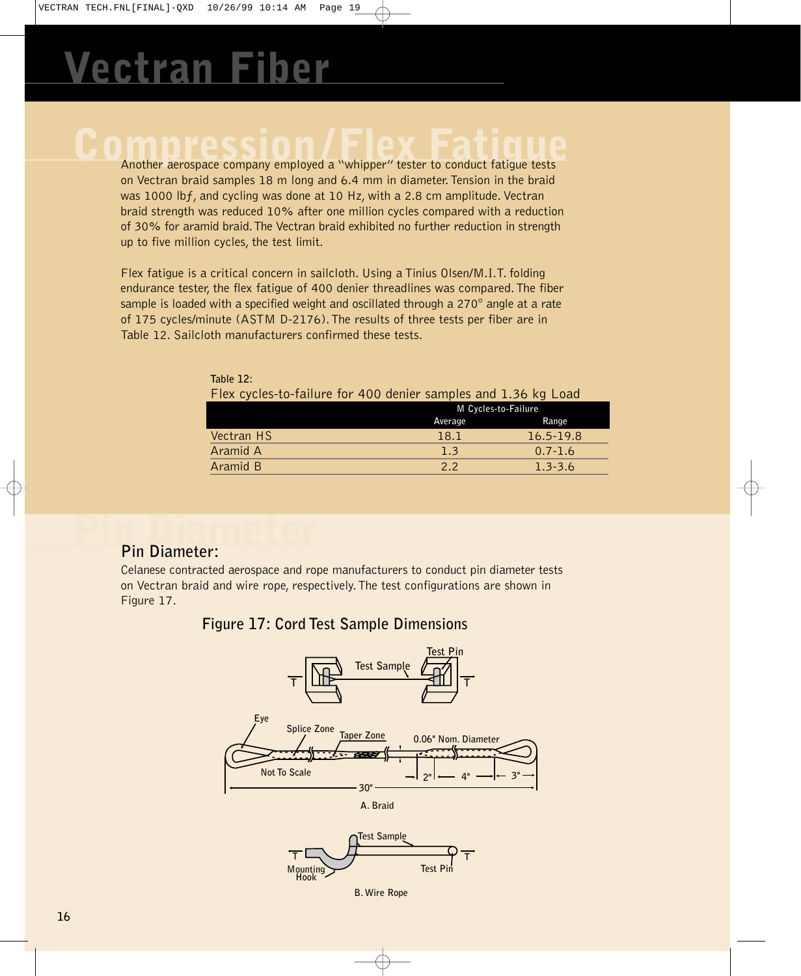# **Comprehensive Company employed a "whipper" tester to conduct fatigue tests**

on Vectran braid samples 18 m long and 6.4 mm in diameter.Tension in the braid was 1000 lbf, and cycling was done at 10 Hz, with a 2.8 cm amplitude. Vectran braid strength was reduced 10% after one million cycles compared with a reduction of 30% for aramid braid.The Vectran braid exhibited no further reduction in strength up to five million cycles, the test limit.

Flex fatigue is a critical concern in sailcloth. Using a Tinius Olsen/M.I.T. folding endurance tester, the flex fatigue of 400 denier threadlines was compared.The fiber sample is loaded with a specified weight and oscillated through a 270° angle at a rate of 175 cycles/minute (ASTM D-2176).The results of three tests per fiber are in Table 12. Sailcloth manufacturers confirmed these tests.

| TABLE IL.                                                      |                     |             |  |
|----------------------------------------------------------------|---------------------|-------------|--|
| Flex cycles-to-failure for 400 denier samples and 1.36 kg Load |                     |             |  |
|                                                                | M Cycles-to-Failure |             |  |
|                                                                | Average             | Range       |  |
| Vectran HS                                                     | 18.1                | 16.5-19.8   |  |
| Aramid A                                                       | 1.3                 | $0.7 - 1.6$ |  |
| Aramid B                                                       | 2.2                 | $1.3 - 3.6$ |  |

**Table 12:**

# **Pin Diameter Pin Diameter:**

Celanese contracted aerospace and rope manufacturers to conduct pin diameter tests on Vectran braid and wire rope, respectively.The test configurations are shown in Figure 17.

### **Figure 17: Cord Test Sample Dimensions**





**B. Wire Rope**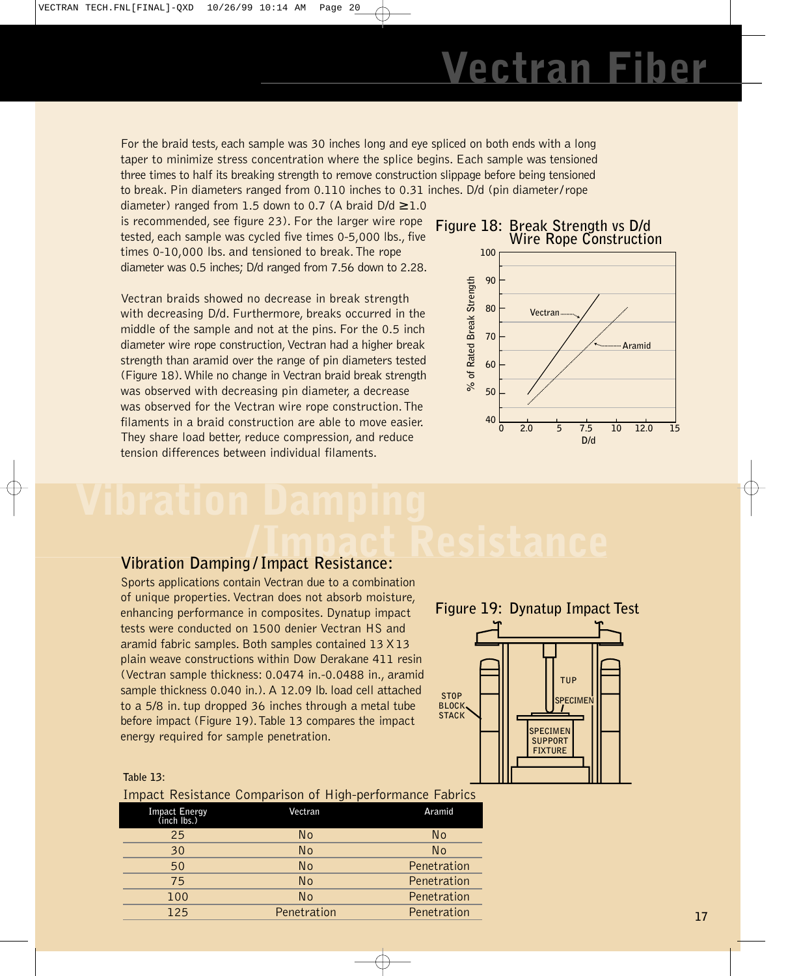For the braid tests, each sample was 30 inches long and eye spliced on both ends with a long taper to minimize stress concentration where the splice begins. Each sample was tensioned three times to half its breaking strength to remove construction slippage before being tensioned to break. Pin diameters ranged from 0.110 inches to 0.31 inches. D/d (pin diameter/rope

diameter) ranged from 1.5 down to 0.7 (A braid  $D/d \ge 1.0$ is recommended, see figure 23). For the larger wire rope tested, each sample was cycled five times 0-5,000 lbs., five times 0-10,000 lbs. and tensioned to break.The rope diameter was 0.5 inches; D/d ranged from 7.56 down to 2.28.

Vectran braids showed no decrease in break strength with decreasing D/d. Furthermore, breaks occurred in the middle of the sample and not at the pins. For the 0.5 inch diameter wire rope construction,Vectran had a higher break strength than aramid over the range of pin diameters tested (Figure 18).While no change in Vectran braid break strength was observed with decreasing pin diameter, a decrease was observed for the Vectran wire rope construction.The filaments in a braid construction are able to move easier. They share load better, reduce compression, and reduce tension differences between individual filaments.

## **Figure 18: Break Strength vs D/d Wire Rope Construction**



# **/Impact Resistance**

### **Vibration Damping / Impact Resistance:**

Sports applications contain Vectran due to a combination of unique properties. Vectran does not absorb moisture, enhancing performance in composites. Dynatup impact tests were conducted on 1500 denier Vectran HS and aramid fabric samples. Both samples contained 13 X13 plain weave constructions within Dow Derakane 411 resin (Vectran sample thickness: 0.0474 in.-0.0488 in., aramid sample thickness 0.040 in.). A 12.09 lb. load cell attached to a 5/8 in. tup dropped 36 inches through a metal tube before impact (Figure 19).Table 13 compares the impact energy required for sample penetration.



### **Table 13:**

Impact Resistance Comparison of High-performance Fabrics

|                                     | This page in constant of Companion is the fillence in an increase in an increase |             |
|-------------------------------------|----------------------------------------------------------------------------------|-------------|
| <b>Impact Energy</b><br>(inch lbs.) | Vectran                                                                          | Aramid      |
| 25                                  | No                                                                               | <b>No</b>   |
| 30                                  | No                                                                               | <b>No</b>   |
| 50                                  | <b>No</b>                                                                        | Penetration |
| 75                                  | <b>No</b>                                                                        | Penetration |
| 100                                 | No                                                                               | Penetration |
| 125                                 | Penetration                                                                      | Penetration |
|                                     |                                                                                  |             |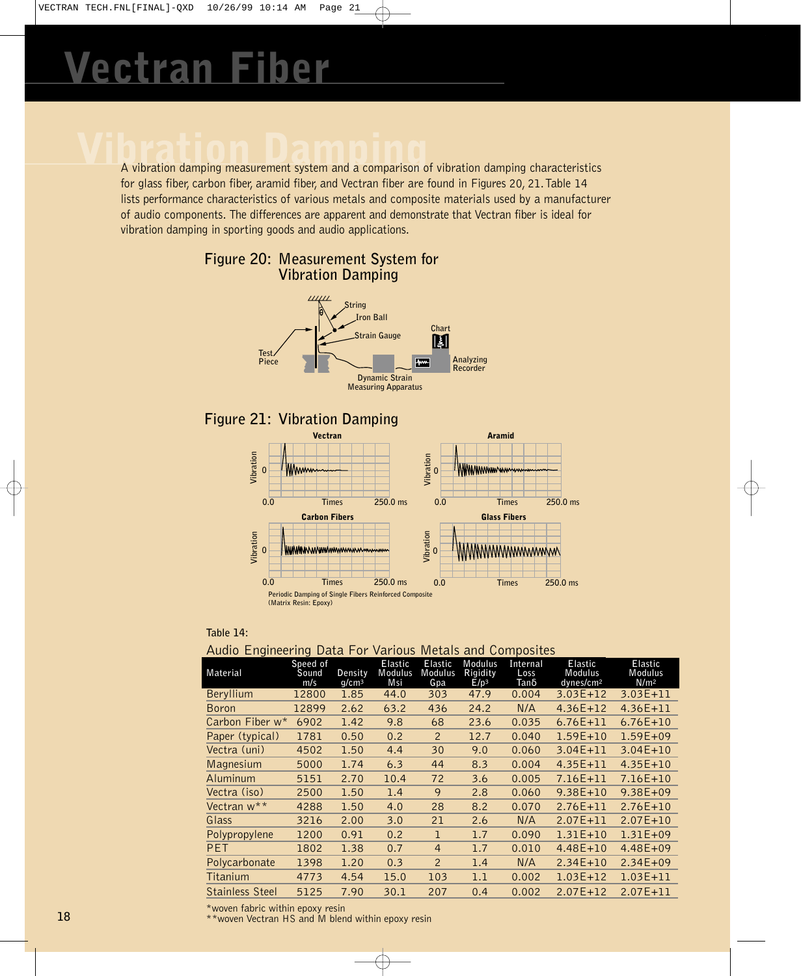# **Van Fiber**

A vibration damping measurement system and a comparison of vibration damping characteristics for glass fiber, carbon fiber, aramid fiber, and Vectran fiber are found in Figures 20, 21.Table 14 lists performance characteristics of various metals and composite materials used by a manufacturer of audio components. The differences are apparent and demonstrate that Vectran fiber is ideal for vibration damping in sporting goods and audio applications.



### **Figure 20: Measurement System for Vibration Damping**

### **Table 14:**

### Audio Engineering Data For Various Metals and Composites

| Material               | Speed of<br>Sound<br>m/s | Density<br>q/cm <sup>3</sup> | <b>Elastic</b><br>Modulus<br>Msi | <b>Elastic</b><br>Modulus<br>Gpa | Modulus<br>Rigidity<br>E/p <sup>3</sup> | Internal<br>Loss<br>Tanδ | Elastic<br>Modulus<br>dynes/cm <sup>2</sup> | <b>Elastic</b><br>Modulus<br>N/m <sup>2</sup> |
|------------------------|--------------------------|------------------------------|----------------------------------|----------------------------------|-----------------------------------------|--------------------------|---------------------------------------------|-----------------------------------------------|
| Beryllium              | 12800                    | 1.85                         | 44.0                             | 303                              | 47.9                                    | 0.004                    | 3.03E+12                                    | $3.03E + 11$                                  |
| Boron                  | 12899                    | 2.62                         | 63.2                             | 436                              | 24.2                                    | N/A                      | $4.36E + 12$                                | $4.36E + 11$                                  |
| Carbon Fiber w*        | 6902                     | 1.42                         | 9.8                              | 68                               | 23.6                                    | 0.035                    | $6.76E + 11$                                | $6.76E + 10$                                  |
| Paper (typical)        | 1781                     | 0.50                         | 0.2                              | 2                                | 12.7                                    | 0.040                    | $1.59E + 10$                                | $1.59E + 09$                                  |
| Vectra (uni)           | 4502                     | 1.50                         | 4.4                              | 30                               | 9.0                                     | 0.060                    | 3.04E+11                                    | $3.04E + 10$                                  |
| Magnesium              | 5000                     | 1.74                         | 6.3                              | 44                               | 8.3                                     | 0.004                    | $4.35E + 11$                                | $4.35E + 10$                                  |
| Aluminum               | 5151                     | 2.70                         | 10.4                             | 72                               | 3.6                                     | 0.005                    | 7.16E+11                                    | $7.16E+10$                                    |
| Vectra (iso)           | 2500                     | 1.50                         | 1.4                              | 9                                | 2.8                                     | 0.060                    | $9.38E + 10$                                | $9.38E + 09$                                  |
| Vectran w**            | 4288                     | 1.50                         | 4.0                              | 28                               | 8.2                                     | 0.070                    | $2.76E + 11$                                | $2.76E + 10$                                  |
| Glass                  | 3216                     | 2.00                         | 3.0                              | 21                               | 2.6                                     | N/A                      | $2.07E + 11$                                | $2.07E + 10$                                  |
| Polypropylene          | 1200                     | 0.91                         | 0.2                              | $\mathbf{1}$                     | 1.7                                     | 0.090                    | $1.31E+10$                                  | $1.31E + 09$                                  |
| <b>PET</b>             | 1802                     | 1.38                         | 0.7                              | $\overline{4}$                   | 1.7                                     | 0.010                    | $4.48E + 10$                                | $4.48E + 09$                                  |
| Polycarbonate          | 1398                     | 1.20                         | 0.3                              | 2                                | 1.4                                     | N/A                      | $2.34E + 10$                                | $2.34E + 09$                                  |
| Titanium               | 4773                     | 4.54                         | 15.0                             | 103                              | 1.1                                     | 0.002                    | $1.03E + 12$                                | $1.03E + 11$                                  |
| <b>Stainless Steel</b> | 5125                     | 7.90                         | 30.1                             | 207                              | 0.4                                     | 0.002                    | $2.07E + 12$                                | $2.07E + 11$                                  |

\*woven fabric within epoxy resin

\*\*woven Vectran HS and M blend within epoxy resin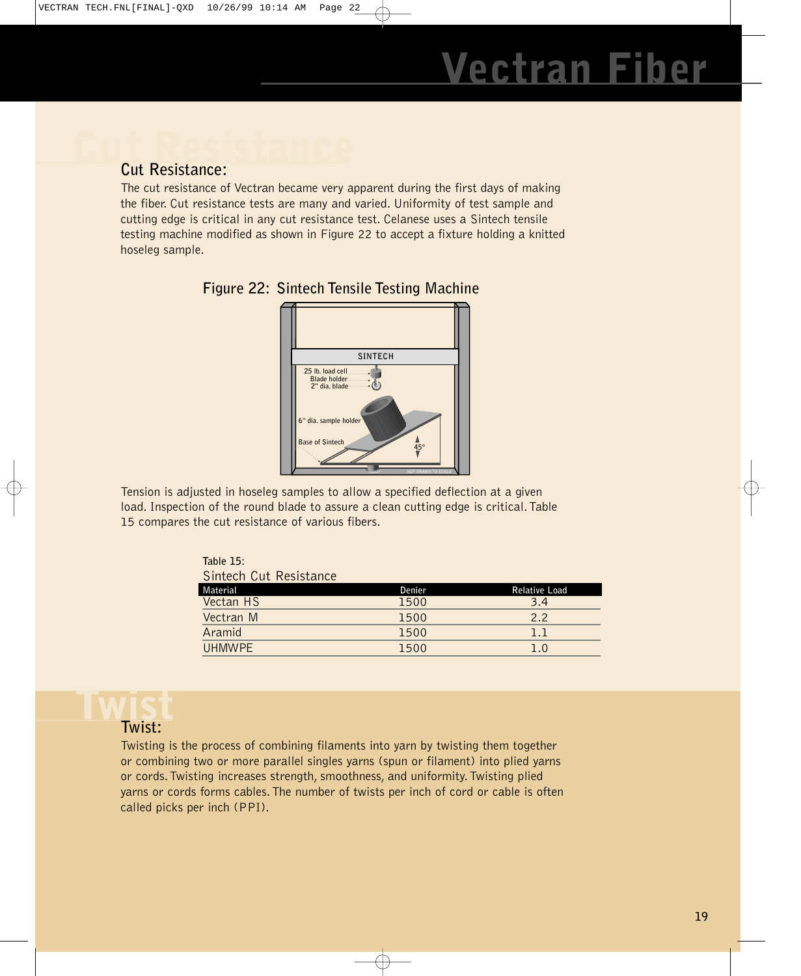## **Cut Resistance: Cut Resistance:**

The cut resistance of Vectran became very apparent during the first days of making the fiber. Cut resistance tests are many and varied. Uniformity of test sample and cutting edge is critical in any cut resistance test. Celanese uses a Sintech tensile testing machine modified as shown in Figure 22 to accept a fixture holding a knitted hoseleg sample.



**Figure 22: Sintech Tensile Testing Machine**

Tension is adjusted in hoseleg samples to allow a specified deflection at a given load. Inspection of the round blade to assure a clean cutting edge is critical.Table 15 compares the cut resistance of various fibers.

> **Table 15:** Sintech Cut Resistance

| Material  | Denier | Relative Load |
|-----------|--------|---------------|
| Vectan HS | 1500   | 3.4           |
| Vectran M | 1500   | 2.2           |
| Aramid    | 1500   | 1.1           |
| UHMWPE    | 1500   | 1.0           |

# **Twist**

### **Twist:**

Twisting is the process of combining filaments into yarn by twisting them together or combining two or more parallel singles yarns (spun or filament) into plied yarns or cords.Twisting increases strength, smoothness, and uniformity.Twisting plied yarns or cords forms cables.The number of twists per inch of cord or cable is often called picks per inch (PPI).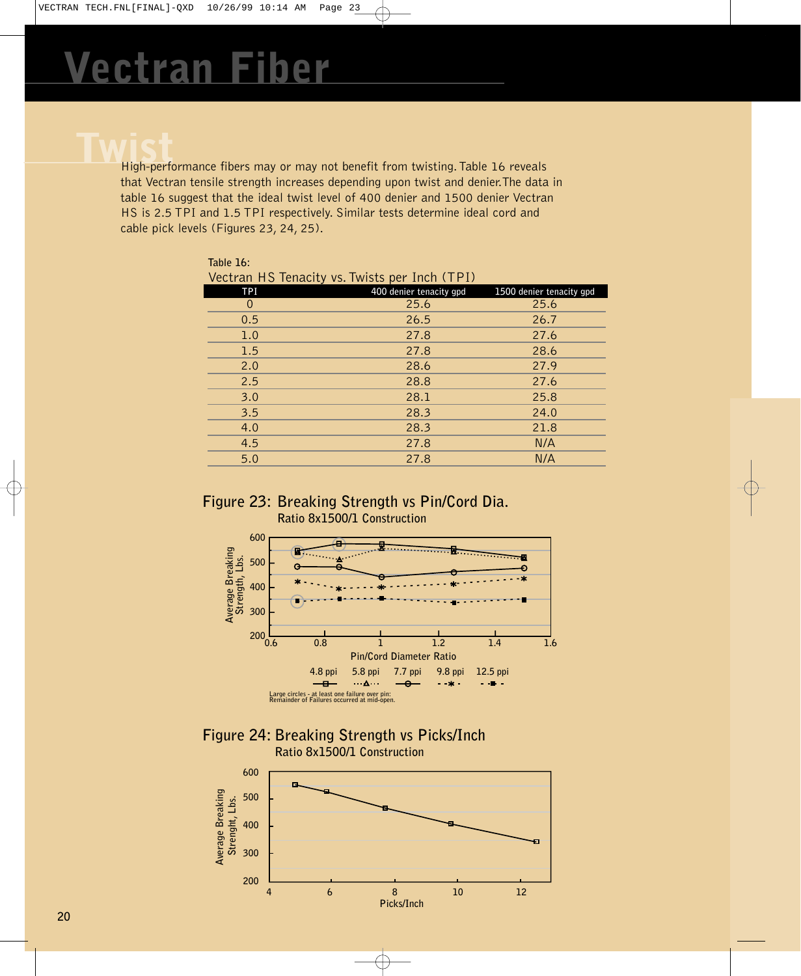High-performance fibers may or may not benefit from twisting. Table 16 reveals that Vectran tensile strength increases depending upon twist and denier.The data in table 16 suggest that the ideal twist level of 400 denier and 1500 denier Vectran HS is 2.5 TPI and 1.5 TPI respectively. Similar tests determine ideal cord and cable pick levels (Figures 23, 24, 25).

| Table 16:                                     |                         |                          |  |  |  |
|-----------------------------------------------|-------------------------|--------------------------|--|--|--|
| Vectran HS Tenacity vs. Twists per Inch (TPI) |                         |                          |  |  |  |
| <b>TPI</b>                                    | 400 denier tenacity gpd | 1500 denier tenacity gpd |  |  |  |
| $\Omega$                                      | 25.6                    | 25.6                     |  |  |  |
| 0.5                                           | 26.5                    | 26.7                     |  |  |  |
| 1.0                                           | 27.8                    | 27.6                     |  |  |  |
| 1.5                                           | 27.8                    | 28.6                     |  |  |  |
| 2.0                                           | 28.6                    | 27.9                     |  |  |  |
| 2.5                                           | 28.8                    | 27.6                     |  |  |  |
| 3.0                                           | 28.1                    | 25.8                     |  |  |  |
| 3.5                                           | 28.3                    | 24.0                     |  |  |  |
| 4.0                                           | 28.3                    | 21.8                     |  |  |  |
| 4.5                                           | 27.8                    | N/A                      |  |  |  |
| 5.0                                           | 27.8                    | N/A                      |  |  |  |

### **Figure 23: Breaking Strength vs Pin/Cord Dia. Ratio 8x1500/1 Construction**



**Figure 24: Breaking Strength vs Picks/Inch Ratio 8x1500/1 Construction**

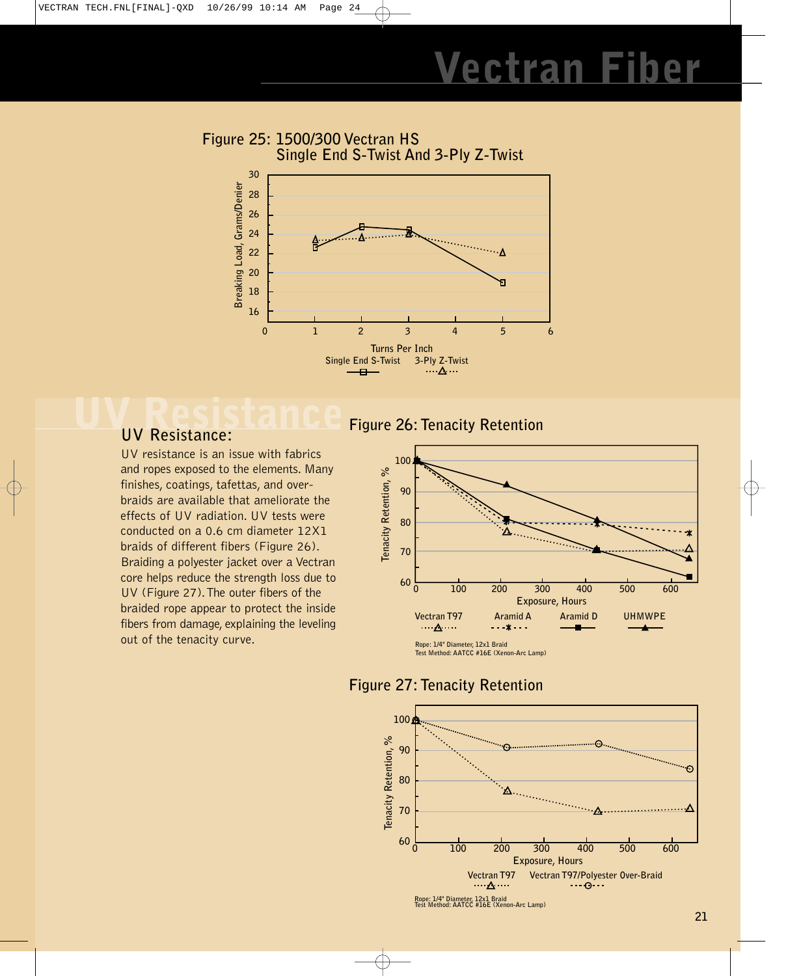### **Figure 25: 1500/300 Vectran HS Single End S-Twist And 3-Ply Z-Twist**



### **UV Resistance UV Resistance:**

UV resistance is an issue with fabrics and ropes exposed to the elements. Many finishes, coatings, tafettas, and overbraids are available that ameliorate the effects of UV radiation. UV tests were conducted on a 0.6 cm diameter 12X1 braids of different fibers (Figure 26). Braiding a polyester jacket over a Vectran core helps reduce the strength loss due to UV (Figure 27).The outer fibers of the braided rope appear to protect the inside fibers from damage, explaining the leveling out of the tenacity curve.

### **Figure 26: Tenacity Retention**



**Figure 27: Tenacity Retention**